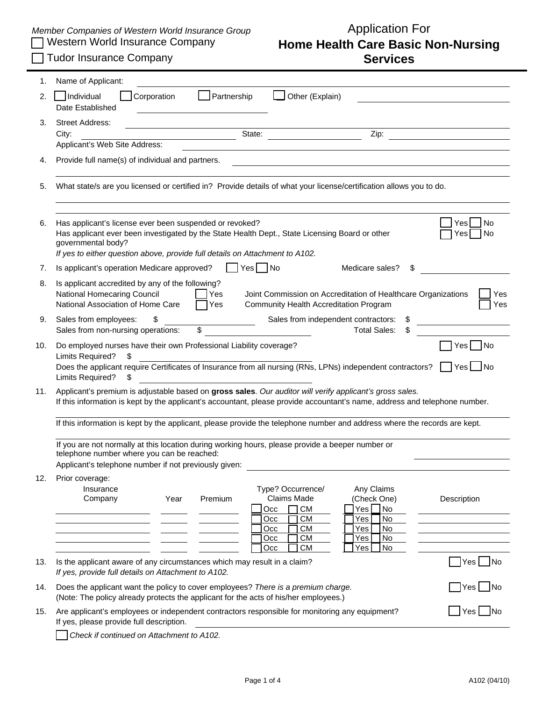## *Member Companies of Western World Insurance Group*<br>Nestern World Insurance Company **Home Health Care Basic N Home Health Care Basic Non-Nursing Services**

| Tudor Insurance Company |  |
|-------------------------|--|
|-------------------------|--|

| 1.  | Name of Applicant:                                                                                                                                                                                                                                                                                                                   |
|-----|--------------------------------------------------------------------------------------------------------------------------------------------------------------------------------------------------------------------------------------------------------------------------------------------------------------------------------------|
| 2.  | Individual<br>Partnership<br>Corporation<br>Other (Explain)<br>Date Established                                                                                                                                                                                                                                                      |
| 3.  | <b>Street Address:</b><br>Zip:<br>State:<br>City:<br>Applicant's Web Site Address:                                                                                                                                                                                                                                                   |
| 4.  | Provide full name(s) of individual and partners.<br><u> 1980 - John Stein, marking and de families and de families and de families and de families and definition</u>                                                                                                                                                                |
| 5.  | What state/s are you licensed or certified in? Provide details of what your license/certification allows you to do.                                                                                                                                                                                                                  |
| 6.  | Has applicant's license ever been suspended or revoked?<br>No<br>Yes<br>Has applicant ever been investigated by the State Health Dept., State Licensing Board or other<br>Yes<br>l No<br>governmental body?<br>If yes to either question above, provide full details on Attachment to A102.                                          |
| 7.  | $Yes \Box No$<br>Is applicant's operation Medicare approved?<br>Medicare sales?<br>\$                                                                                                                                                                                                                                                |
| 8.  | Is applicant accredited by any of the following?<br>National Homecaring Council<br>Yes<br>Joint Commission on Accreditation of Healthcare Organizations<br>Yes<br>Yes<br>National Association of Home Care<br>1Yes<br>Community Health Accreditation Program                                                                         |
| 9.  | Sales from independent contractors:<br>Sales from employees:<br>\$<br>Sales from non-nursing operations:<br>\$<br><b>Total Sales:</b>                                                                                                                                                                                                |
| 10. | Do employed nurses have their own Professional Liability coverage?<br>Yes No<br>Limits Required?<br>S<br>Does the applicant require Certificates of Insurance from all nursing (RNs, LPNs) independent contractors?<br>$Yes$ No<br>Limits Required?<br>S                                                                             |
| 11. | Applicant's premium is adjustable based on gross sales. Our auditor will verify applicant's gross sales.<br>If this information is kept by the applicant's accountant, please provide accountant's name, address and telephone number.                                                                                               |
|     | If this information is kept by the applicant, please provide the telephone number and address where the records are kept.<br>If you are not normally at this location during working hours, please provide a beeper number or<br>telephone number where you can be reached:<br>Applicant's telephone number if not previously given: |
| 12. | Prior coverage:<br>Type? Occurrence/<br>Any Claims<br>Insurance<br><b>Claims Made</b><br>Premium<br>(Check One)<br>Description<br>Year<br>Company<br><b>CM</b><br>Yes No<br>Occ<br><b>CM</b><br>No<br>Occ<br>Yes<br>СM<br>Occ<br>Yes<br>No                                                                                           |
|     | No<br><b>CM</b><br>Yes<br>Occ<br><b>CM</b><br>No<br>Occ<br>Yes                                                                                                                                                                                                                                                                       |
| 13. | Is the applicant aware of any circumstances which may result in a claim?<br>Yes No<br>If yes, provide full details on Attachment to A102.                                                                                                                                                                                            |
| 14. | Does the applicant want the policy to cover employees? There is a premium charge.<br>Yes No<br>(Note: The policy already protects the applicant for the acts of his/her employees.)                                                                                                                                                  |
| 15. | Are applicant's employees or independent contractors responsible for monitoring any equipment?<br>Yes L<br>– INo<br>If yes, please provide full description.                                                                                                                                                                         |
|     | Check if continued on Attachment to A102.                                                                                                                                                                                                                                                                                            |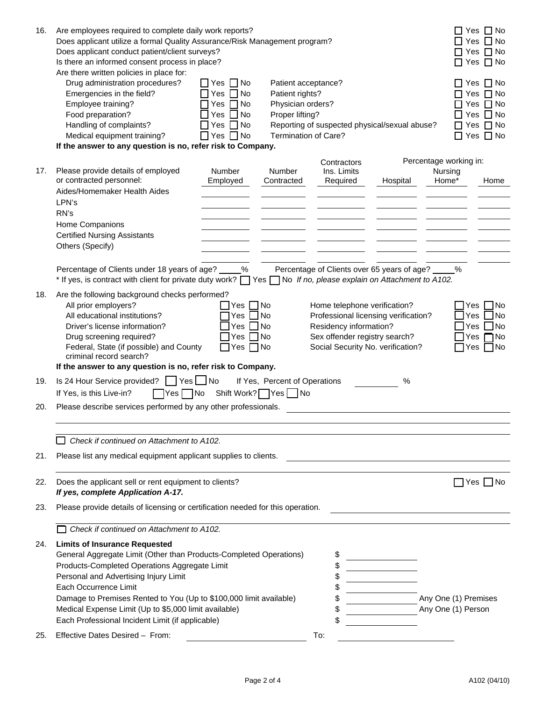| 16. | Are employees required to complete daily work reports?<br>Does applicant utilize a formal Quality Assurance/Risk Management program?<br>Does applicant conduct patient/client surveys?<br>Is there an informed consent process in place?<br>Are there written policies in place for:                                                                                                                             |                                                                                                                          |                                                                                                        |                                                                                         |                                                                           | Yes                                        | Yes $\Box$ No<br>$\Box$ No<br>Yes $\Box$ No<br>Yes $\Box$ No                                    |
|-----|------------------------------------------------------------------------------------------------------------------------------------------------------------------------------------------------------------------------------------------------------------------------------------------------------------------------------------------------------------------------------------------------------------------|--------------------------------------------------------------------------------------------------------------------------|--------------------------------------------------------------------------------------------------------|-----------------------------------------------------------------------------------------|---------------------------------------------------------------------------|--------------------------------------------|-------------------------------------------------------------------------------------------------|
|     | Drug administration procedures?<br>Emergencies in the field?<br>Employee training?<br>Food preparation?<br>Handling of complaints?<br>Medical equipment training?                                                                                                                                                                                                                                                | $\Box$ Yes $\Box$ No<br>$\Box$ No<br>$\Box$ Yes<br>No<br>Yes<br>No<br>Yes<br>No<br>Yes<br>$\Box$<br>$\Box$ Yes $\Box$ No | Patient acceptance?<br>Patient rights?<br>Physician orders?<br>Proper lifting?<br>Termination of Care? |                                                                                         | Reporting of suspected physical/sexual abuse?                             |                                            | □ Yes □ No<br>Yes $\Box$ No<br>Yes $\Box$ No<br>Yes $\Box$ No<br>Yes $\Box$ No<br>Yes $\Box$ No |
|     | If the answer to any question is no, refer risk to Company.                                                                                                                                                                                                                                                                                                                                                      |                                                                                                                          |                                                                                                        |                                                                                         |                                                                           |                                            |                                                                                                 |
| 17. | Please provide details of employed<br>or contracted personnel:<br>Aides/Homemaker Health Aides                                                                                                                                                                                                                                                                                                                   | Number<br>Employed                                                                                                       | Number<br>Contracted                                                                                   | Contractors<br>Ins. Limits<br>Required                                                  | Hospital                                                                  | Percentage working in:<br>Nursing<br>Home* | Home                                                                                            |
|     | LPN's<br>RN's<br>Home Companions<br><b>Certified Nursing Assistants</b><br>Others (Specify)                                                                                                                                                                                                                                                                                                                      |                                                                                                                          |                                                                                                        |                                                                                         |                                                                           |                                            |                                                                                                 |
|     | Percentage of Clients under 18 years of age?<br>* If yes, is contract with client for private duty work? $\Box$ Yes $\Box$ No If no, please explain on Attachment to A102.                                                                                                                                                                                                                                       | %                                                                                                                        |                                                                                                        |                                                                                         | Percentage of Clients over 65 years of age?                               | %                                          |                                                                                                 |
| 18. | Are the following background checks performed?<br>All prior employers?<br>All educational institutions?<br>Driver's license information?<br>Drug screening required?<br>Federal, State (if possible) and County<br>criminal record search?                                                                                                                                                                       | Yes<br>Yes<br>Yes<br>Yes<br>$Yes \Box No$                                                                                | ∏No<br>N <sub>o</sub><br><b>No</b><br>N <sub>o</sub>                                                   | Home telephone verification?<br>Residency information?<br>Sex offender registry search? | Professional licensing verification?<br>Social Security No. verification? | Yes<br>Yes                                 | 1No<br>Yes  <br>」No<br>]No<br>Yes $\n  o$<br>Yes $\Box$ No                                      |
|     | If the answer to any question is no, refer risk to Company.                                                                                                                                                                                                                                                                                                                                                      |                                                                                                                          |                                                                                                        |                                                                                         |                                                                           |                                            |                                                                                                 |
| 19. | Is 24 Hour Service provided?<br>  Yes<br>If Yes, is this Live-in?<br>$\Box$ No<br>Yes                                                                                                                                                                                                                                                                                                                            | $\blacksquare$ No<br>Shift Work? Yes                                                                                     | If Yes, Percent of Operations<br>N <sub>o</sub>                                                        |                                                                                         | %                                                                         |                                            |                                                                                                 |
| 20. | Please describe services performed by any other professionals.                                                                                                                                                                                                                                                                                                                                                   |                                                                                                                          |                                                                                                        |                                                                                         |                                                                           |                                            |                                                                                                 |
|     |                                                                                                                                                                                                                                                                                                                                                                                                                  |                                                                                                                          |                                                                                                        |                                                                                         |                                                                           |                                            |                                                                                                 |
|     | Check if continued on Attachment to A102.                                                                                                                                                                                                                                                                                                                                                                        |                                                                                                                          |                                                                                                        |                                                                                         |                                                                           |                                            |                                                                                                 |
| 21. | Please list any medical equipment applicant supplies to clients.                                                                                                                                                                                                                                                                                                                                                 |                                                                                                                          |                                                                                                        |                                                                                         |                                                                           |                                            |                                                                                                 |
| 22. | Does the applicant sell or rent equipment to clients?<br>If yes, complete Application A-17.                                                                                                                                                                                                                                                                                                                      |                                                                                                                          |                                                                                                        |                                                                                         |                                                                           |                                            | Yes   INo                                                                                       |
| 23. | Please provide details of licensing or certification needed for this operation.                                                                                                                                                                                                                                                                                                                                  |                                                                                                                          |                                                                                                        |                                                                                         |                                                                           |                                            |                                                                                                 |
|     | Check if continued on Attachment to A102.                                                                                                                                                                                                                                                                                                                                                                        |                                                                                                                          |                                                                                                        |                                                                                         |                                                                           |                                            |                                                                                                 |
| 24. | <b>Limits of Insurance Requested</b><br>General Aggregate Limit (Other than Products-Completed Operations)<br>Products-Completed Operations Aggregate Limit<br>Personal and Advertising Injury Limit<br>Each Occurrence Limit<br>Damage to Premises Rented to You (Up to \$100,000 limit available)<br>Medical Expense Limit (Up to \$5,000 limit available)<br>Each Professional Incident Limit (if applicable) |                                                                                                                          |                                                                                                        | \$<br>\$<br>\$<br>\$<br>\$<br>\$<br>\$                                                  |                                                                           | Any One (1) Premises<br>Any One (1) Person |                                                                                                 |
| 25. | Effective Dates Desired - From:                                                                                                                                                                                                                                                                                                                                                                                  |                                                                                                                          |                                                                                                        | To:                                                                                     |                                                                           |                                            |                                                                                                 |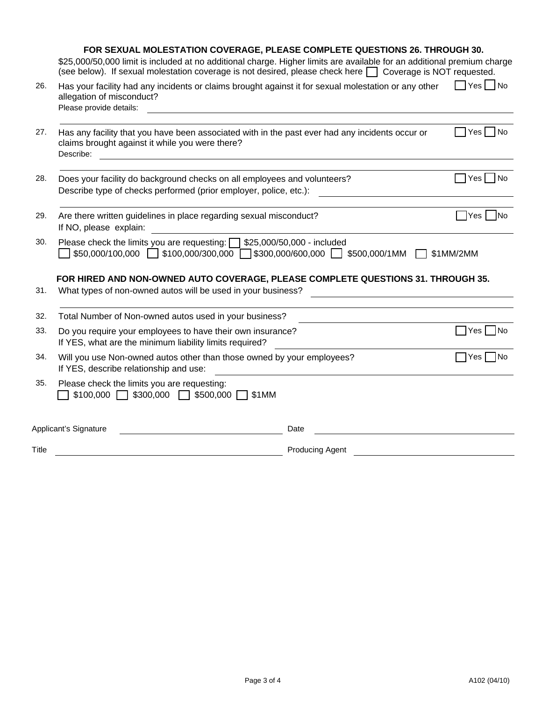|       | FOR SEXUAL MOLESTATION COVERAGE, PLEASE COMPLETE QUESTIONS 26. THROUGH 30.<br>\$25,000/50,000 limit is included at no additional charge. Higher limits are available for an additional premium charge<br>(see below). If sexual molestation coverage is not desired, please check here $\Box$ Coverage is NOT requested.                                                                                |                        |                                     |
|-------|---------------------------------------------------------------------------------------------------------------------------------------------------------------------------------------------------------------------------------------------------------------------------------------------------------------------------------------------------------------------------------------------------------|------------------------|-------------------------------------|
| 26.   | Has your facility had any incidents or claims brought against it for sexual molestation or any other<br>allegation of misconduct?<br>Please provide details:                                                                                                                                                                                                                                            |                        | $\Box$ Yes $\Box$ No                |
| 27.   | Has any facility that you have been associated with in the past ever had any incidents occur or<br>claims brought against it while you were there?<br>Describe:<br><u>and the state of the state of the state of the state of the state of the state of the state of the state of the state of the state of the state of the state of the state of the state of the state of the state of the state</u> |                        | IYesl INo                           |
| 28.   | Does your facility do background checks on all employees and volunteers?<br>Describe type of checks performed (prior employer, police, etc.):                                                                                                                                                                                                                                                           |                        | Yes <br>$\overline{\phantom{a}}$ No |
| 29.   | Are there written guidelines in place regarding sexual misconduct?<br>If NO, please explain:                                                                                                                                                                                                                                                                                                            |                        | │Yes │ │No                          |
| 30.   | Please check the limits you are requesting: \[325,000/50,000 - included<br>$$50,000/100,000$ $$100,000/300,000$ $$300,000/600,000$ $$500,000/1MM$                                                                                                                                                                                                                                                       |                        | \$1MM/2MM                           |
| 31.   | FOR HIRED AND NON-OWNED AUTO COVERAGE, PLEASE COMPLETE QUESTIONS 31. THROUGH 35.<br>What types of non-owned autos will be used in your business?                                                                                                                                                                                                                                                        |                        |                                     |
| 32.   | Total Number of Non-owned autos used in your business?                                                                                                                                                                                                                                                                                                                                                  |                        |                                     |
| 33.   | Do you require your employees to have their own insurance?<br>If YES, what are the minimum liability limits required?                                                                                                                                                                                                                                                                                   |                        | Yes   No                            |
| 34.   | Will you use Non-owned autos other than those owned by your employees?<br>If YES, describe relationship and use:                                                                                                                                                                                                                                                                                        |                        | Yes<br><b>No</b>                    |
| 35.   | Please check the limits you are requesting:<br>$$100,000$ $\Box$ \$300,000 $\Box$ \$500,000 $\Box$ \$1MM                                                                                                                                                                                                                                                                                                |                        |                                     |
|       | Applicant's Signature                                                                                                                                                                                                                                                                                                                                                                                   | Date                   |                                     |
| Title |                                                                                                                                                                                                                                                                                                                                                                                                         | <b>Producing Agent</b> |                                     |